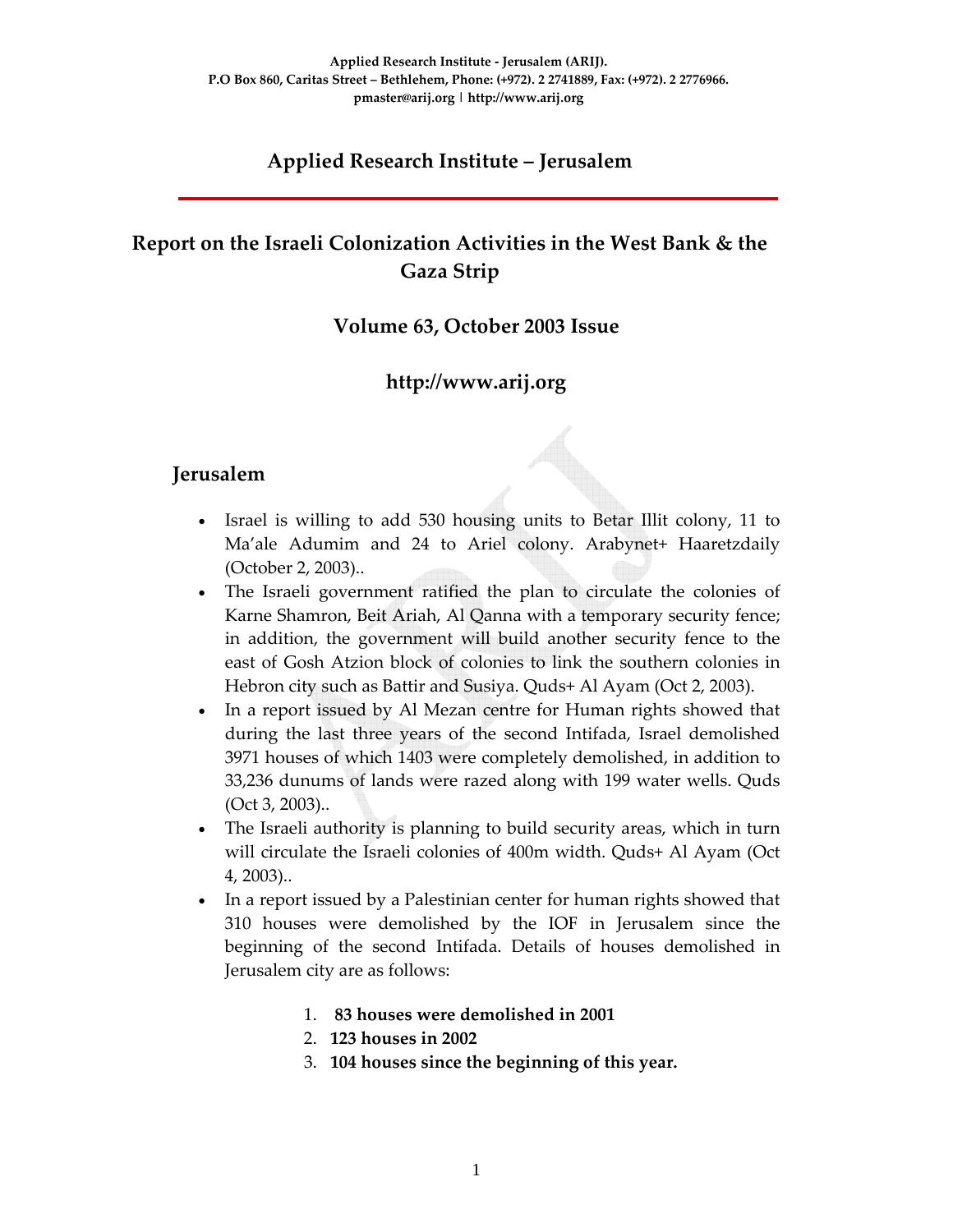# **Applied Research Institute – Jerusalem**

# **Report on the Israeli Colonization Activities in the West Bank & the Gaza Strip**

#### **Volume 63, October 2003 Issue**

### **http://www.arij.org**

#### **Jerusalem**

- Israel is willing to add 530 housing units to Betar Illit colony, 11 to Ma'ale Adumim and 24 to Ariel colony. Arabynet+ Haaretzdaily (October 2, 2003)..
- The Israeli government ratified the plan to circulate the colonies of Karne Shamron, Beit Ariah, Al Qanna with a temporary security fence; in addition, the government will build another security fence to the east of Gosh Atzion block of colonies to link the southern colonies in Hebron city such as Battir and Susiya. Quds+ Al Ayam (Oct 2, 2003).
- In a report issued by Al Mezan centre for Human rights showed that during the last three years of the second Intifada, Israel demolished 3971 houses of which 1403 were completely demolished, in addition to 33,236 dunums of lands were razed along with 199 water wells. Quds (Oct 3, 2003)..
- The Israeli authority is planning to build security areas, which in turn will circulate the Israeli colonies of 400m width. Quds+ Al Ayam (Oct 4, 2003)..
- In a report issued by a Palestinian center for human rights showed that 310 houses were demolished by the IOF in Jerusalem since the beginning of the second Intifada. Details of houses demolished in Jerusalem city are as follows:
	- 1. **83 houses were demolished in 2001**
	- 2. **123 houses in 2002**
	- 3. **104 houses since the beginning of this year.**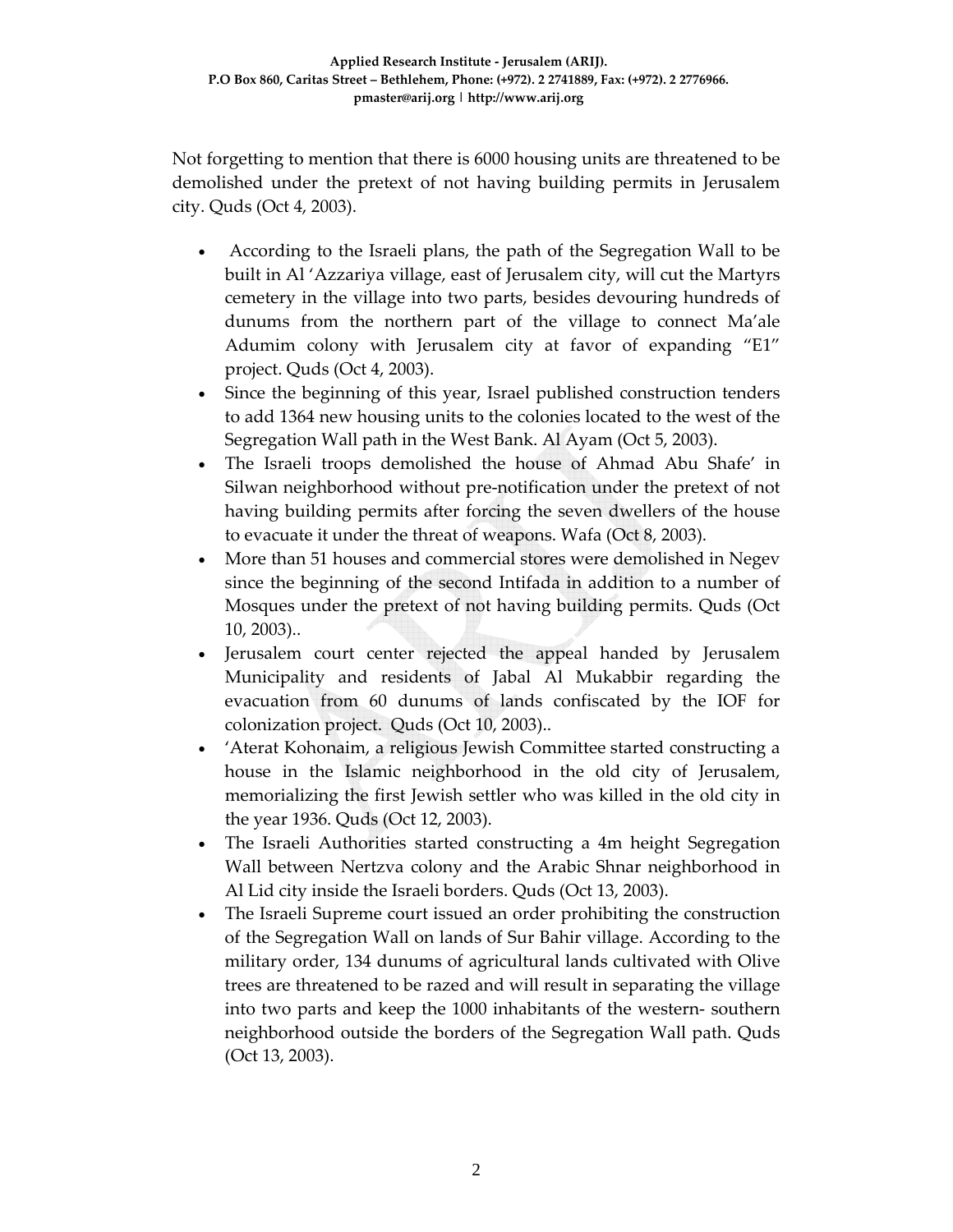Not forgetting to mention that there is 6000 housing units are threatened to be demolished under the pretext of not having building permits in Jerusalem city. Quds (Oct 4, 2003).

- According to the Israeli plans, the path of the Segregation Wall to be built in Al 'Azzariya village, east of Jerusalem city, will cut the Martyrs cemetery in the village into two parts, besides devouring hundreds of dunums from the northern part of the village to connect Ma'ale Adumim colony with Jerusalem city at favor of expanding "E1" project. Quds (Oct 4, 2003).
- Since the beginning of this year, Israel published construction tenders to add 1364 new housing units to the colonies located to the west of the Segregation Wall path in the West Bank. Al Ayam (Oct 5, 2003).
- The Israeli troops demolished the house of Ahmad Abu Shafe' in Silwan neighborhood without pre‐notification under the pretext of not having building permits after forcing the seven dwellers of the house to evacuate it under the threat of weapons. Wafa (Oct 8, 2003).
- More than 51 houses and commercial stores were demolished in Negev since the beginning of the second Intifada in addition to a number of Mosques under the pretext of not having building permits. Quds (Oct 10, 2003)..
- Jerusalem court center rejected the appeal handed by Jerusalem Municipality and residents of Jabal Al Mukabbir regarding the evacuation from 60 dunums of lands confiscated by the IOF for colonization project. Quds (Oct 10, 2003)..
- 'Aterat Kohonaim, a religious Jewish Committee started constructing a house in the Islamic neighborhood in the old city of Jerusalem, memorializing the first Jewish settler who was killed in the old city in the year 1936. Quds (Oct 12, 2003).
- The Israeli Authorities started constructing a 4m height Segregation Wall between Nertzva colony and the Arabic Shnar neighborhood in Al Lid city inside the Israeli borders. Quds (Oct 13, 2003).
- The Israeli Supreme court issued an order prohibiting the construction of the Segregation Wall on lands of Sur Bahir village. According to the military order, 134 dunums of agricultural lands cultivated with Olive trees are threatened to be razed and will result in separating the village into two parts and keep the 1000 inhabitants of the western‐ southern neighborhood outside the borders of the Segregation Wall path. Quds (Oct 13, 2003).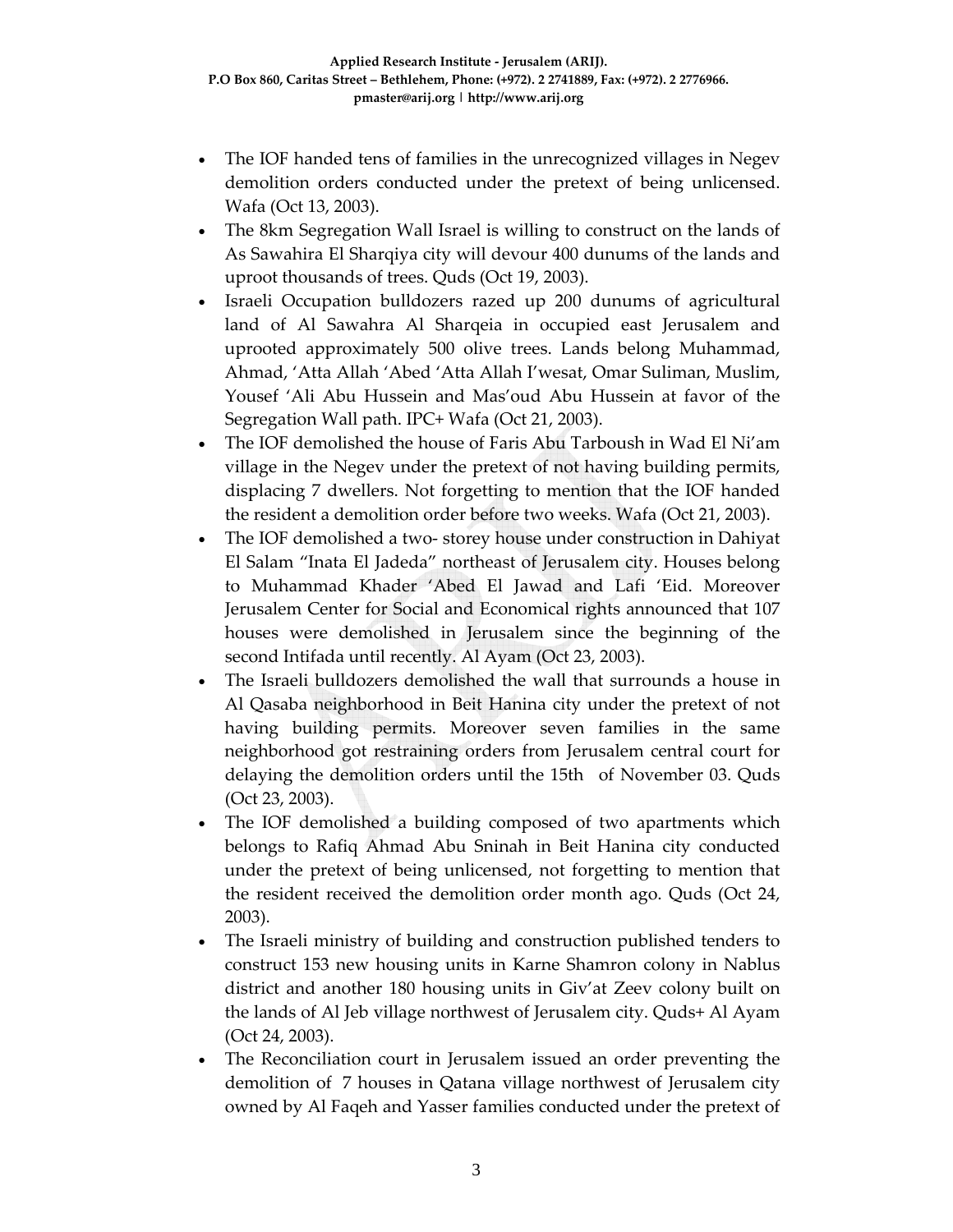- The IOF handed tens of families in the unrecognized villages in Negev demolition orders conducted under the pretext of being unlicensed. Wafa (Oct 13, 2003).
- The 8km Segregation Wall Israel is willing to construct on the lands of As Sawahira El Sharqiya city will devour 400 dunums of the lands and uproot thousands of trees. Quds (Oct 19, 2003).
- Israeli Occupation bulldozers razed up 200 dunums of agricultural land of Al Sawahra Al Sharqeia in occupied east Jerusalem and uprooted approximately 500 olive trees. Lands belong Muhammad, Ahmad, 'Atta Allah 'Abed 'Atta Allah I'wesat, Omar Suliman, Muslim, Yousef 'Ali Abu Hussein and Mas'oud Abu Hussein at favor of the Segregation Wall path. IPC+ Wafa (Oct 21, 2003).
- The IOF demolished the house of Faris Abu Tarboush in Wad El Ni'am village in the Negev under the pretext of not having building permits, displacing 7 dwellers. Not forgetting to mention that the IOF handed the resident a demolition order before two weeks. Wafa (Oct 21, 2003).
- The IOF demolished a two-storey house under construction in Dahiyat El Salam "Inata El Jadeda" northeast of Jerusalem city. Houses belong to Muhammad Khader 'Abed El Jawad and Lafi 'Eid. Moreover Jerusalem Center for Social and Economical rights announced that 107 houses were demolished in Jerusalem since the beginning of the second Intifada until recently. Al Ayam (Oct 23, 2003).
- The Israeli bulldozers demolished the wall that surrounds a house in Al Qasaba neighborhood in Beit Hanina city under the pretext of not having building permits. Moreover seven families in the same neighborhood got restraining orders from Jerusalem central court for delaying the demolition orders until the 15th of November 03. Quds (Oct 23, 2003).
- The IOF demolished a building composed of two apartments which belongs to Rafiq Ahmad Abu Sninah in Beit Hanina city conducted under the pretext of being unlicensed, not forgetting to mention that the resident received the demolition order month ago. Quds (Oct 24, 2003).
- The Israeli ministry of building and construction published tenders to construct 153 new housing units in Karne Shamron colony in Nablus district and another 180 housing units in Giv'at Zeev colony built on the lands of Al Jeb village northwest of Jerusalem city. Quds+ Al Ayam (Oct 24, 2003).
- The Reconciliation court in Jerusalem issued an order preventing the demolition of 7 houses in Qatana village northwest of Jerusalem city owned by Al Faqeh and Yasser families conducted under the pretext of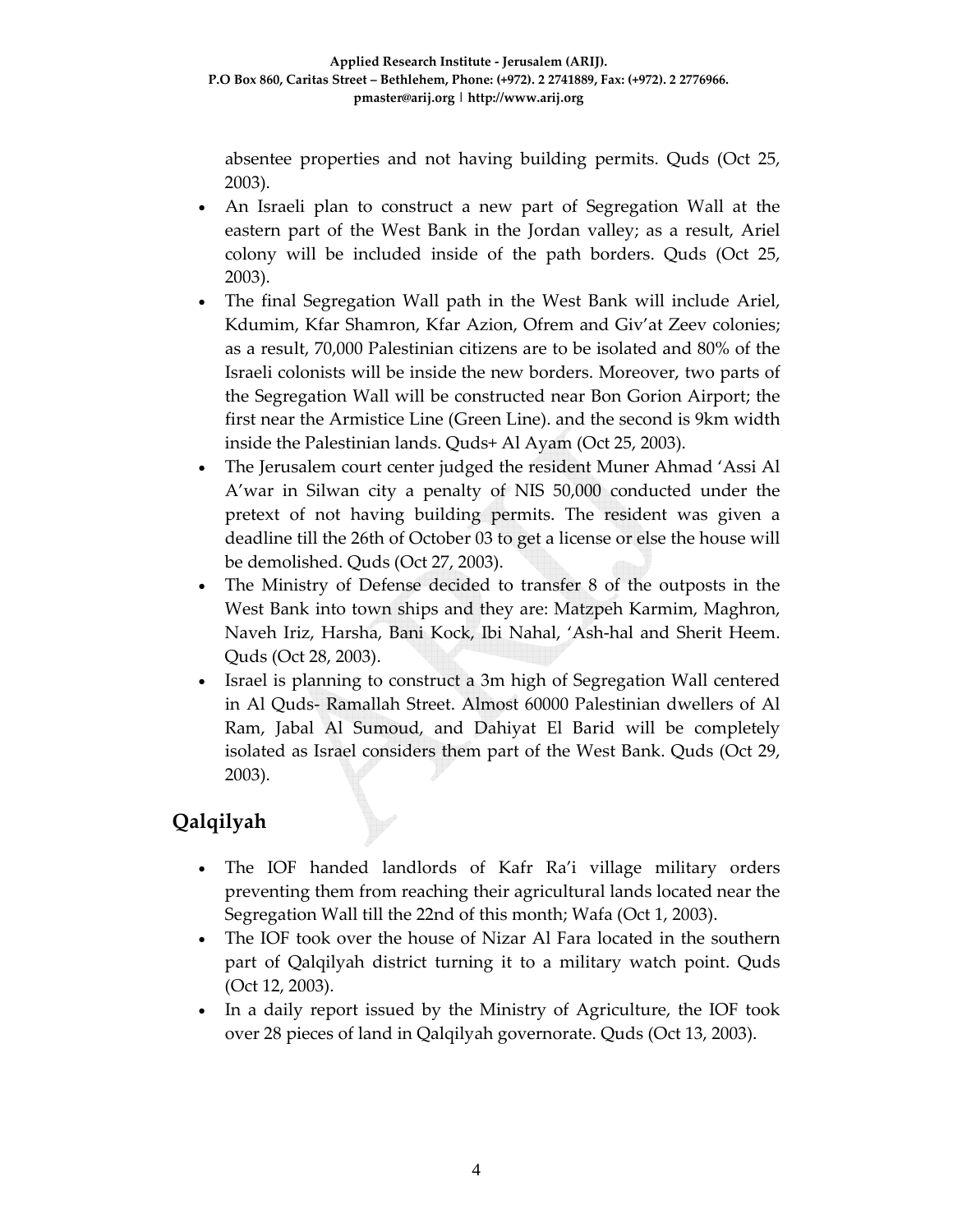absentee properties and not having building permits. Quds (Oct 25, 2003).

- An Israeli plan to construct a new part of Segregation Wall at the eastern part of the West Bank in the Jordan valley; as a result, Ariel colony will be included inside of the path borders. Quds (Oct 25, 2003).
- The final Segregation Wall path in the West Bank will include Ariel, Kdumim, Kfar Shamron, Kfar Azion, Ofrem and Giv'at Zeev colonies; as a result, 70,000 Palestinian citizens are to be isolated and 80% of the Israeli colonists will be inside the new borders. Moreover, two parts of the Segregation Wall will be constructed near Bon Gorion Airport; the first near the Armistice Line (Green Line). and the second is 9km width inside the Palestinian lands. Quds+ Al Ayam (Oct 25, 2003).
- The Jerusalem court center judged the resident Muner Ahmad 'Assi Al A'war in Silwan city a penalty of NIS 50,000 conducted under the pretext of not having building permits. The resident was given a deadline till the 26th of October 03 to get a license or else the house will be demolished. Quds (Oct 27, 2003).
- The Ministry of Defense decided to transfer 8 of the outposts in the West Bank into town ships and they are: Matzpeh Karmim, Maghron, Naveh Iriz, Harsha, Bani Kock, Ibi Nahal, 'Ash‐hal and Sherit Heem. Quds (Oct 28, 2003).
- Israel is planning to construct a 3m high of Segregation Wall centered in Al Quds‐ Ramallah Street. Almost 60000 Palestinian dwellers of Al Ram, Jabal Al Sumoud, and Dahiyat El Barid will be completely isolated as Israel considers them part of the West Bank. Quds (Oct 29, 2003).

# **Qalqilyah**

- The IOF handed landlords of Kafr Ra'i village military orders preventing them from reaching their agricultural lands located near the Segregation Wall till the 22nd of this month; Wafa (Oct 1, 2003).
- The IOF took over the house of Nizar Al Fara located in the southern part of Qalqilyah district turning it to a military watch point. Quds (Oct 12, 2003).
- In a daily report issued by the Ministry of Agriculture, the IOF took over 28 pieces of land in Qalqilyah governorate. Quds (Oct 13, 2003).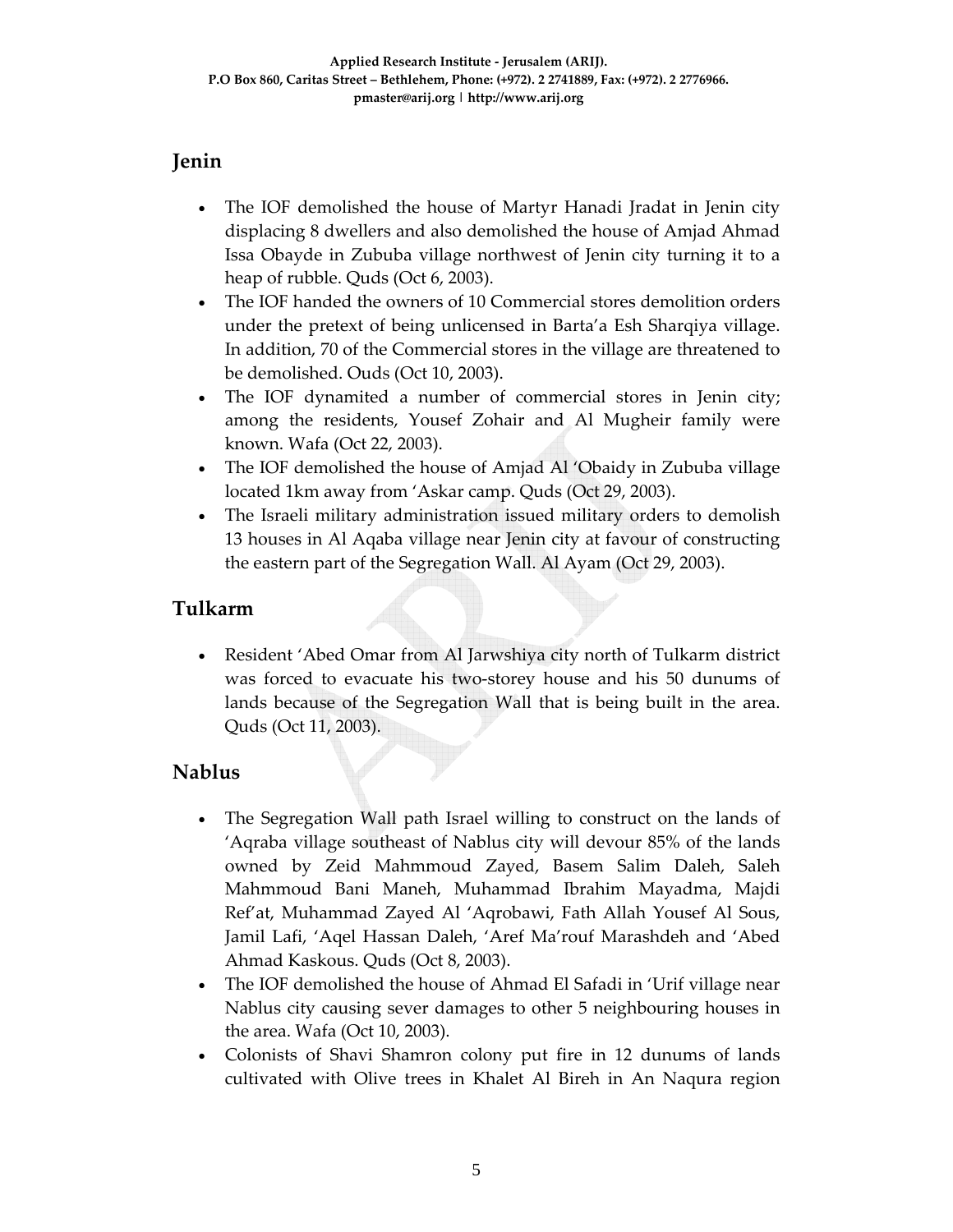### **Jenin**

- The IOF demolished the house of Martyr Hanadi Jradat in Jenin city displacing 8 dwellers and also demolished the house of Amjad Ahmad Issa Obayde in Zububa village northwest of Jenin city turning it to a heap of rubble. Quds (Oct 6, 2003).
- The IOF handed the owners of 10 Commercial stores demolition orders under the pretext of being unlicensed in Barta'a Esh Sharqiya village. In addition, 70 of the Commercial stores in the village are threatened to be demolished. Ouds (Oct 10, 2003).
- The IOF dynamited a number of commercial stores in Jenin city; among the residents, Yousef Zohair and Al Mugheir family were known. Wafa (Oct 22, 2003).
- The IOF demolished the house of Amjad Al 'Obaidy in Zububa village located 1km away from 'Askar camp. Quds (Oct 29, 2003).
- The Israeli military administration issued military orders to demolish 13 houses in Al Aqaba village near Jenin city at favour of constructing the eastern part of the Segregation Wall. Al Ayam (Oct 29, 2003).

### **Tulkarm**

• Resident 'Abed Omar from Al Jarwshiya city north of Tulkarm district was forced to evacuate his two-storey house and his 50 dunums of lands because of the Segregation Wall that is being built in the area. Quds (Oct 11, 2003).

#### **Nablus**

- The Segregation Wall path Israel willing to construct on the lands of 'Aqraba village southeast of Nablus city will devour 85% of the lands owned by Zeid Mahmmoud Zayed, Basem Salim Daleh, Saleh Mahmmoud Bani Maneh, Muhammad Ibrahim Mayadma, Majdi Ref'at, Muhammad Zayed Al 'Aqrobawi, Fath Allah Yousef Al Sous, Jamil Lafi, 'Aqel Hassan Daleh, 'Aref Ma'rouf Marashdeh and 'Abed Ahmad Kaskous. Quds (Oct 8, 2003).
- The IOF demolished the house of Ahmad El Safadi in 'Urif village near Nablus city causing sever damages to other 5 neighbouring houses in the area. Wafa (Oct 10, 2003).
- Colonists of Shavi Shamron colony put fire in 12 dunums of lands cultivated with Olive trees in Khalet Al Bireh in An Naqura region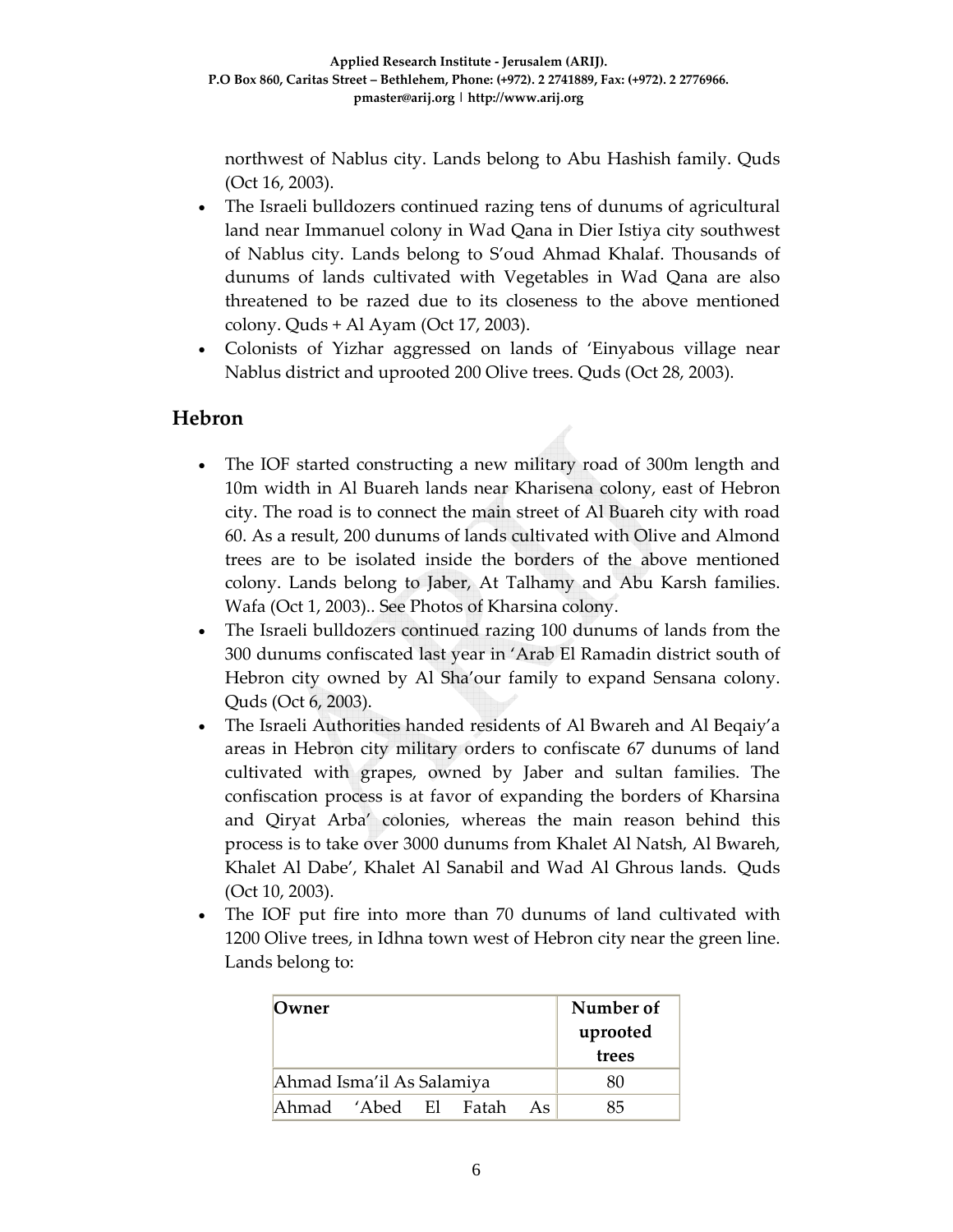northwest of Nablus city. Lands belong to Abu Hashish family. Quds (Oct 16, 2003).

- The Israeli bulldozers continued razing tens of dunums of agricultural land near Immanuel colony in Wad Qana in Dier Istiya city southwest of Nablus city. Lands belong to S'oud Ahmad Khalaf. Thousands of dunums of lands cultivated with Vegetables in Wad Qana are also threatened to be razed due to its closeness to the above mentioned colony. Quds + Al Ayam (Oct 17, 2003).
- Colonists of Yizhar aggressed on lands of 'Einyabous village near Nablus district and uprooted 200 Olive trees. Quds (Oct 28, 2003).

### **Hebron**

- The IOF started constructing a new military road of 300m length and 10m width in Al Buareh lands near Kharisena colony, east of Hebron city. The road is to connect the main street of Al Buareh city with road 60. As a result, 200 dunums of lands cultivated with Olive and Almond trees are to be isolated inside the borders of the above mentioned colony. Lands belong to Jaber, At Talhamy and Abu Karsh families. Wafa (Oct 1, 2003).. See Photos of Kharsina colony.
- The Israeli bulldozers continued razing 100 dunums of lands from the 300 dunums confiscated last year in 'Arab El Ramadin district south of Hebron city owned by Al Sha'our family to expand Sensana colony. Quds (Oct 6, 2003).
- The Israeli Authorities handed residents of Al Bwareh and Al Beqaiy'a areas in Hebron city military orders to confiscate 67 dunums of land cultivated with grapes, owned by Jaber and sultan families. The confiscation process is at favor of expanding the borders of Kharsina and Qiryat Arba' colonies, whereas the main reason behind this process is to take over 3000 dunums from Khalet Al Natsh, Al Bwareh, Khalet Al Dabe', Khalet Al Sanabil and Wad Al Ghrous lands. Quds (Oct 10, 2003).
- The IOF put fire into more than 70 dunums of land cultivated with 1200 Olive trees, in Idhna town west of Hebron city near the green line. Lands belong to:

| Owner                     | Number of<br>uprooted<br>trees |  |  |    |    |
|---------------------------|--------------------------------|--|--|----|----|
| Ahmad Isma'il As Salamiya | 80                             |  |  |    |    |
| Ahmad 'Abed El Fatah      |                                |  |  | As | 85 |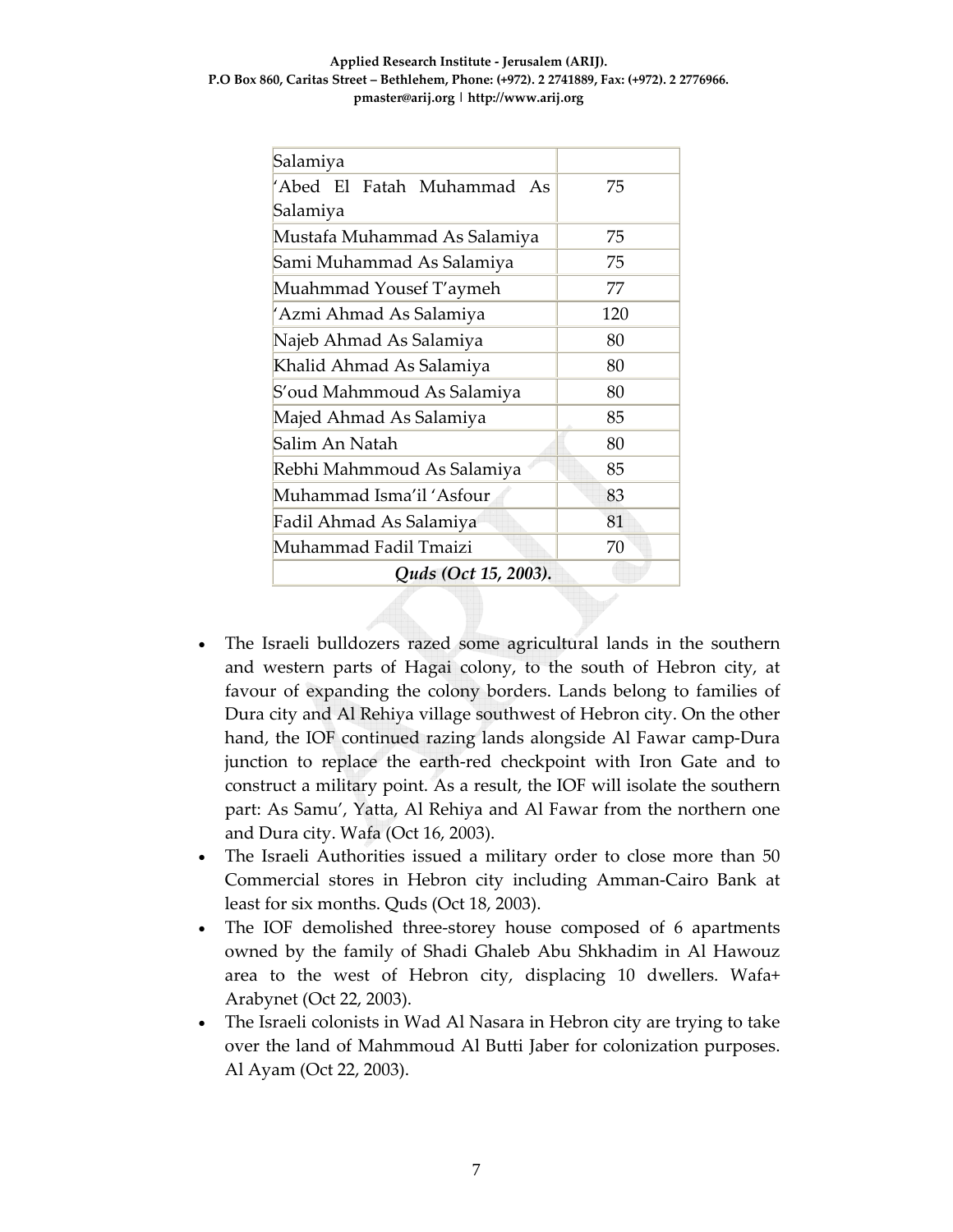| Salamiya                     |     |  |  |  |  |  |  |  |
|------------------------------|-----|--|--|--|--|--|--|--|
| 'Abed El Fatah Muhammad As   | 75  |  |  |  |  |  |  |  |
| Salamiya                     |     |  |  |  |  |  |  |  |
| Mustafa Muhammad As Salamiya | 75  |  |  |  |  |  |  |  |
| Sami Muhammad As Salamiya    | 75  |  |  |  |  |  |  |  |
| Muahmmad Yousef T'aymeh      | 77  |  |  |  |  |  |  |  |
| 'Azmi Ahmad As Salamiya      | 120 |  |  |  |  |  |  |  |
| Najeb Ahmad As Salamiya      | 80  |  |  |  |  |  |  |  |
| Khalid Ahmad As Salamiya     | 80  |  |  |  |  |  |  |  |
| S'oud Mahmmoud As Salamiya   | 80  |  |  |  |  |  |  |  |
| Majed Ahmad As Salamiya      | 85  |  |  |  |  |  |  |  |
| Salim An Natah               | 80  |  |  |  |  |  |  |  |
| Rebhi Mahmmoud As Salamiya   | 85  |  |  |  |  |  |  |  |
| Muhammad Isma'il 'Asfour     | 83  |  |  |  |  |  |  |  |
| Fadil Ahmad As Salamiya      | 81  |  |  |  |  |  |  |  |
| Muhammad Fadil Tmaizi        | 70  |  |  |  |  |  |  |  |
| Quds (Oct 15, 2003).         |     |  |  |  |  |  |  |  |

- The Israeli bulldozers razed some agricultural lands in the southern and western parts of Hagai colony, to the south of Hebron city, at favour of expanding the colony borders. Lands belong to families of Dura city and Al Rehiya village southwest of Hebron city. On the other hand, the IOF continued razing lands alongside Al Fawar camp‐Dura junction to replace the earth‐red checkpoint with Iron Gate and to construct a military point. As a result, the IOF will isolate the southern part: As Samu', Yatta, Al Rehiya and Al Fawar from the northern one and Dura city. Wafa (Oct 16, 2003).
- The Israeli Authorities issued a military order to close more than 50 Commercial stores in Hebron city including Amman‐Cairo Bank at least for six months. Quds (Oct 18, 2003).
- The IOF demolished three-storey house composed of 6 apartments owned by the family of Shadi Ghaleb Abu Shkhadim in Al Hawouz area to the west of Hebron city, displacing 10 dwellers. Wafa+ Arabynet (Oct 22, 2003).
- The Israeli colonists in Wad Al Nasara in Hebron city are trying to take over the land of Mahmmoud Al Butti Jaber for colonization purposes. Al Ayam (Oct 22, 2003).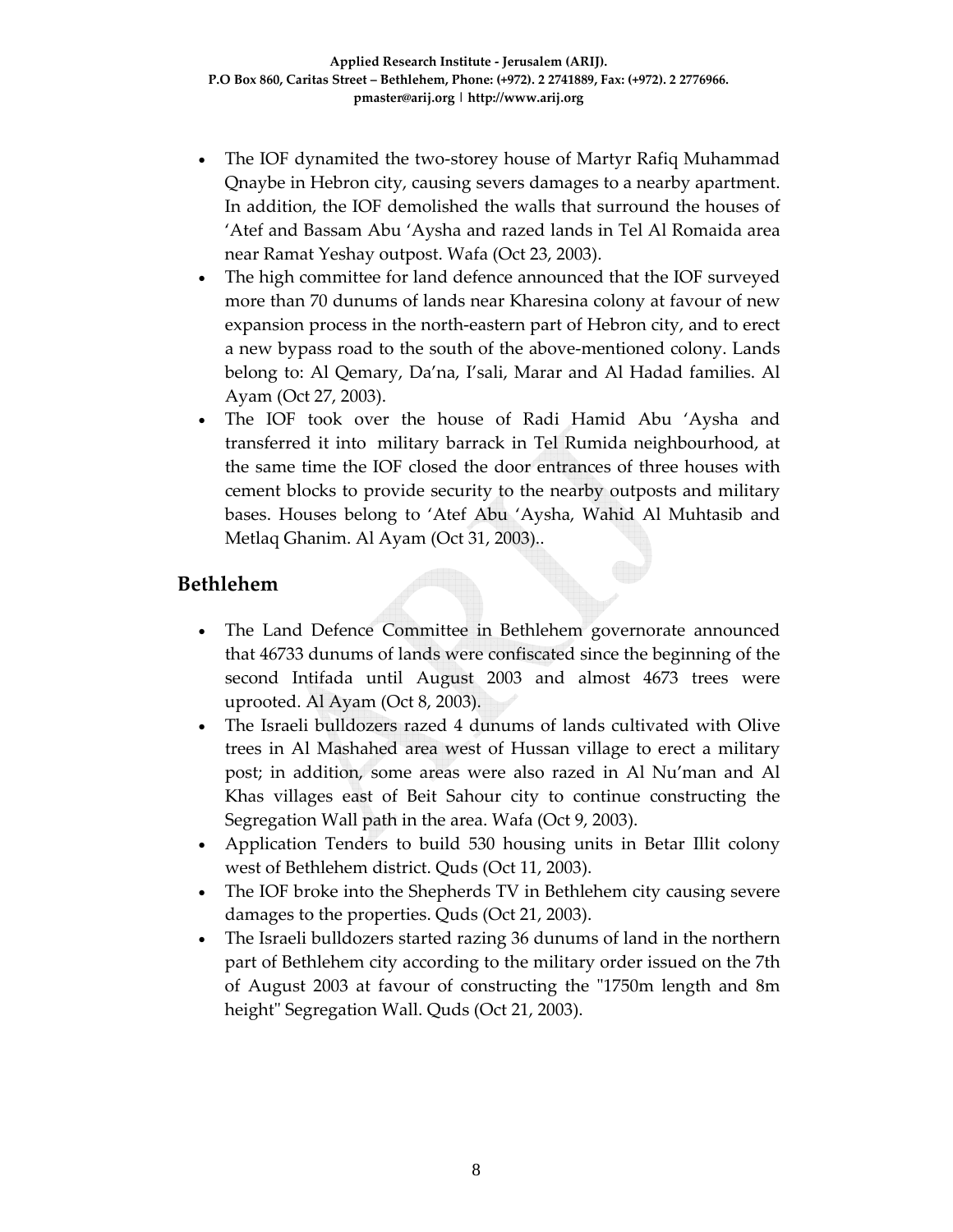- The IOF dynamited the two‐storey house of Martyr Rafiq Muhammad Qnaybe in Hebron city, causing severs damages to a nearby apartment. In addition, the IOF demolished the walls that surround the houses of 'Atef and Bassam Abu 'Aysha and razed lands in Tel Al Romaida area near Ramat Yeshay outpost. Wafa (Oct 23, 2003).
- The high committee for land defence announced that the IOF surveyed more than 70 dunums of lands near Kharesina colony at favour of new expansion process in the north-eastern part of Hebron city, and to erect a new bypass road to the south of the above‐mentioned colony. Lands belong to: Al Qemary, Da'na, I'sali, Marar and Al Hadad families. Al Ayam (Oct 27, 2003).
- The IOF took over the house of Radi Hamid Abu 'Aysha and transferred it into military barrack in Tel Rumida neighbourhood, at the same time the IOF closed the door entrances of three houses with cement blocks to provide security to the nearby outposts and military bases. Houses belong to 'Atef Abu 'Aysha, Wahid Al Muhtasib and Metlaq Ghanim. Al Ayam (Oct 31, 2003)..

#### **Bethlehem**

- The Land Defence Committee in Bethlehem governorate announced that 46733 dunums of lands were confiscated since the beginning of the second Intifada until August 2003 and almost 4673 trees were uprooted. Al Ayam (Oct 8, 2003).
- The Israeli bulldozers razed 4 dunums of lands cultivated with Olive trees in Al Mashahed area west of Hussan village to erect a military post; in addition, some areas were also razed in Al Nu'man and Al Khas villages east of Beit Sahour city to continue constructing the Segregation Wall path in the area. Wafa (Oct 9, 2003).
- Application Tenders to build 530 housing units in Betar Illit colony west of Bethlehem district. Quds (Oct 11, 2003).
- The IOF broke into the Shepherds TV in Bethlehem city causing severe damages to the properties. Quds (Oct 21, 2003).
- The Israeli bulldozers started razing 36 dunums of land in the northern part of Bethlehem city according to the military order issued on the 7th of August 2003 at favour of constructing the "1750m length and 8m height" Segregation Wall. Quds (Oct 21, 2003).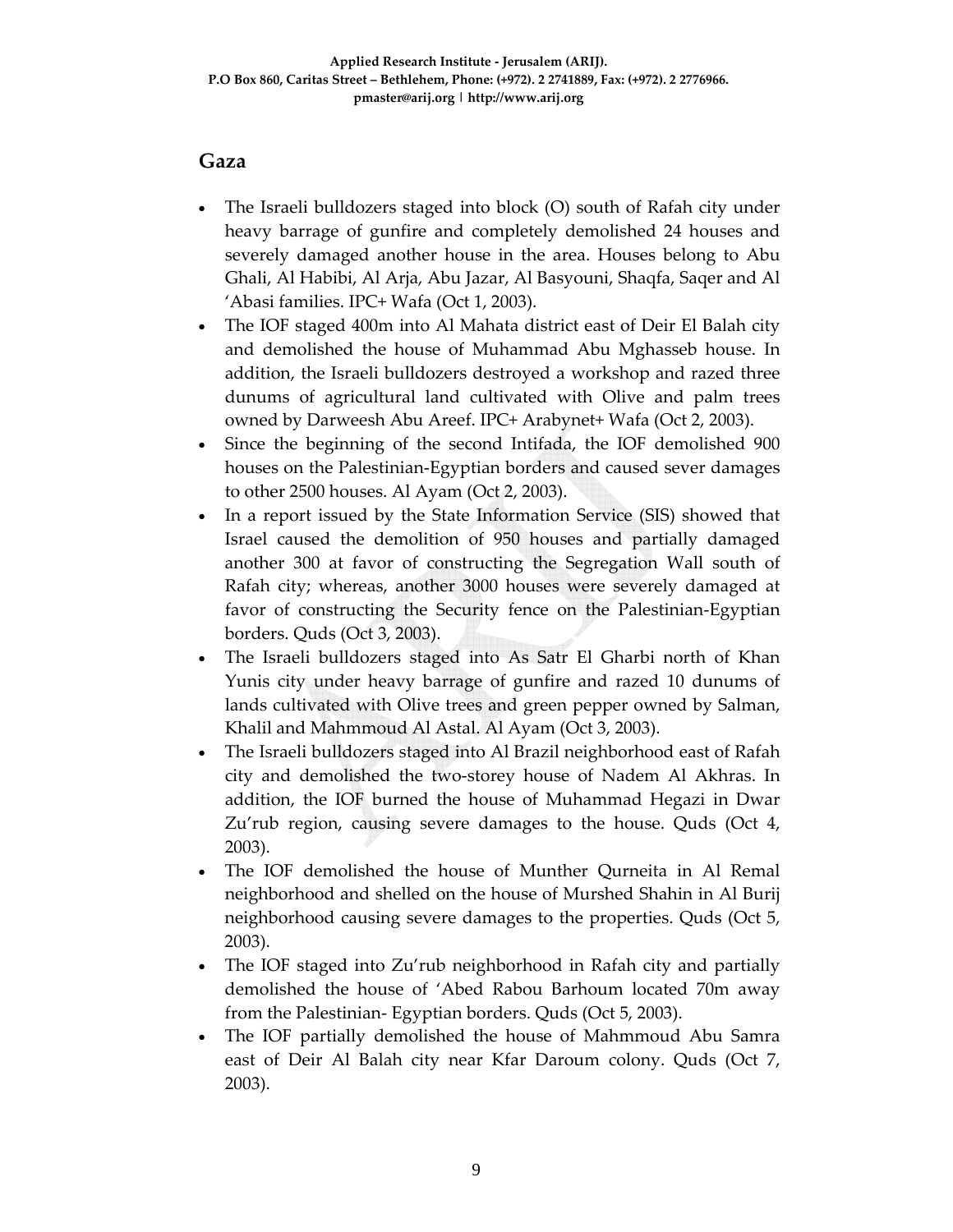### **Gaza**

- The Israeli bulldozers staged into block (O) south of Rafah city under heavy barrage of gunfire and completely demolished 24 houses and severely damaged another house in the area. Houses belong to Abu Ghali, Al Habibi, Al Arja, Abu Jazar, Al Basyouni, Shaqfa, Saqer and Al 'Abasi families. IPC+ Wafa (Oct 1, 2003).
- The IOF staged 400m into Al Mahata district east of Deir El Balah city and demolished the house of Muhammad Abu Mghasseb house. In addition, the Israeli bulldozers destroyed a workshop and razed three dunums of agricultural land cultivated with Olive and palm trees owned by Darweesh Abu Areef. IPC+ Arabynet+ Wafa (Oct 2, 2003).
- Since the beginning of the second Intifada, the IOF demolished 900 houses on the Palestinian‐Egyptian borders and caused sever damages to other 2500 houses. Al Ayam (Oct 2, 2003).
- In a report issued by the State Information Service (SIS) showed that Israel caused the demolition of 950 houses and partially damaged another 300 at favor of constructing the Segregation Wall south of Rafah city; whereas, another 3000 houses were severely damaged at favor of constructing the Security fence on the Palestinian‐Egyptian borders. Quds (Oct 3, 2003).
- The Israeli bulldozers staged into As Satr El Gharbi north of Khan Yunis city under heavy barrage of gunfire and razed 10 dunums of lands cultivated with Olive trees and green pepper owned by Salman, Khalil and Mahmmoud Al Astal. Al Ayam (Oct 3, 2003).
- The Israeli bulldozers staged into Al Brazil neighborhood east of Rafah city and demolished the two‐storey house of Nadem Al Akhras. In addition, the IOF burned the house of Muhammad Hegazi in Dwar Zu'rub region, causing severe damages to the house. Quds (Oct 4, 2003).
- The IOF demolished the house of Munther Qurneita in Al Remal neighborhood and shelled on the house of Murshed Shahin in Al Burij neighborhood causing severe damages to the properties. Quds (Oct 5, 2003).
- The IOF staged into Zu'rub neighborhood in Rafah city and partially demolished the house of 'Abed Rabou Barhoum located 70m away from the Palestinian‐ Egyptian borders. Quds (Oct 5, 2003).
- The IOF partially demolished the house of Mahmmoud Abu Samra east of Deir Al Balah city near Kfar Daroum colony. Quds (Oct 7, 2003).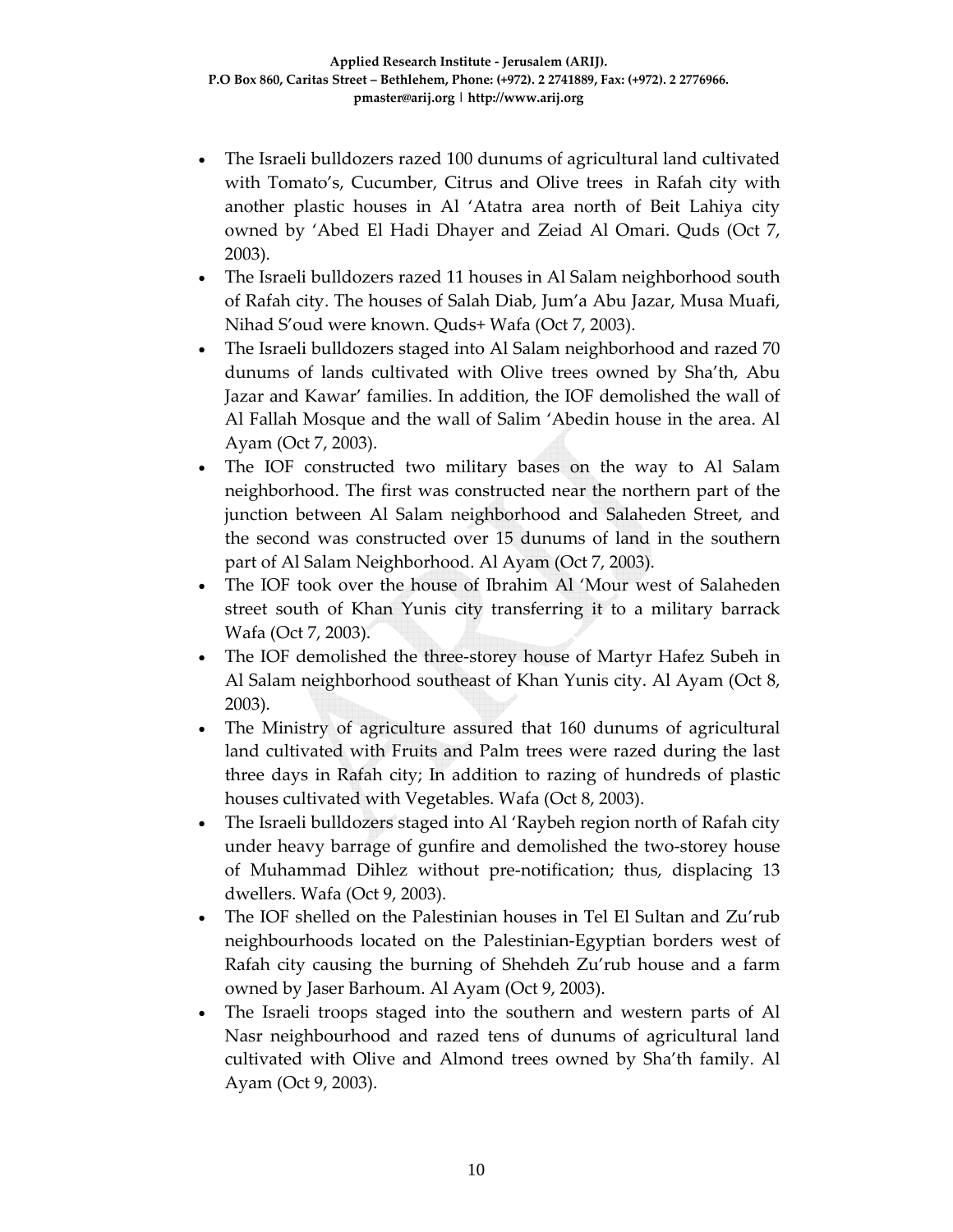- The Israeli bulldozers razed 100 dunums of agricultural land cultivated with Tomato's, Cucumber, Citrus and Olive trees in Rafah city with another plastic houses in Al 'Atatra area north of Beit Lahiya city owned by 'Abed El Hadi Dhayer and Zeiad Al Omari. Quds (Oct 7, 2003).
- The Israeli bulldozers razed 11 houses in Al Salam neighborhood south of Rafah city. The houses of Salah Diab, Jum'a Abu Jazar, Musa Muafi, Nihad S'oud were known. Quds+ Wafa (Oct 7, 2003).
- The Israeli bulldozers staged into Al Salam neighborhood and razed 70 dunums of lands cultivated with Olive trees owned by Sha'th, Abu Jazar and Kawar' families. In addition, the IOF demolished the wall of Al Fallah Mosque and the wall of Salim 'Abedin house in the area. Al Ayam (Oct 7, 2003).
- The IOF constructed two military bases on the way to Al Salam neighborhood. The first was constructed near the northern part of the junction between Al Salam neighborhood and Salaheden Street, and the second was constructed over 15 dunums of land in the southern part of Al Salam Neighborhood. Al Ayam (Oct 7, 2003).
- The IOF took over the house of Ibrahim Al 'Mour west of Salaheden street south of Khan Yunis city transferring it to a military barrack Wafa (Oct 7, 2003).
- The IOF demolished the three-storey house of Martyr Hafez Subeh in Al Salam neighborhood southeast of Khan Yunis city. Al Ayam (Oct 8, 2003).
- The Ministry of agriculture assured that 160 dunums of agricultural land cultivated with Fruits and Palm trees were razed during the last three days in Rafah city; In addition to razing of hundreds of plastic houses cultivated with Vegetables. Wafa (Oct 8, 2003).
- The Israeli bulldozers staged into Al 'Raybeh region north of Rafah city under heavy barrage of gunfire and demolished the two‐storey house of Muhammad Dihlez without pre‐notification; thus, displacing 13 dwellers. Wafa (Oct 9, 2003).
- The IOF shelled on the Palestinian houses in Tel El Sultan and Zu'rub neighbourhoods located on the Palestinian‐Egyptian borders west of Rafah city causing the burning of Shehdeh Zu'rub house and a farm owned by Jaser Barhoum. Al Ayam (Oct 9, 2003).
- The Israeli troops staged into the southern and western parts of Al Nasr neighbourhood and razed tens of dunums of agricultural land cultivated with Olive and Almond trees owned by Sha'th family. Al Ayam (Oct 9, 2003).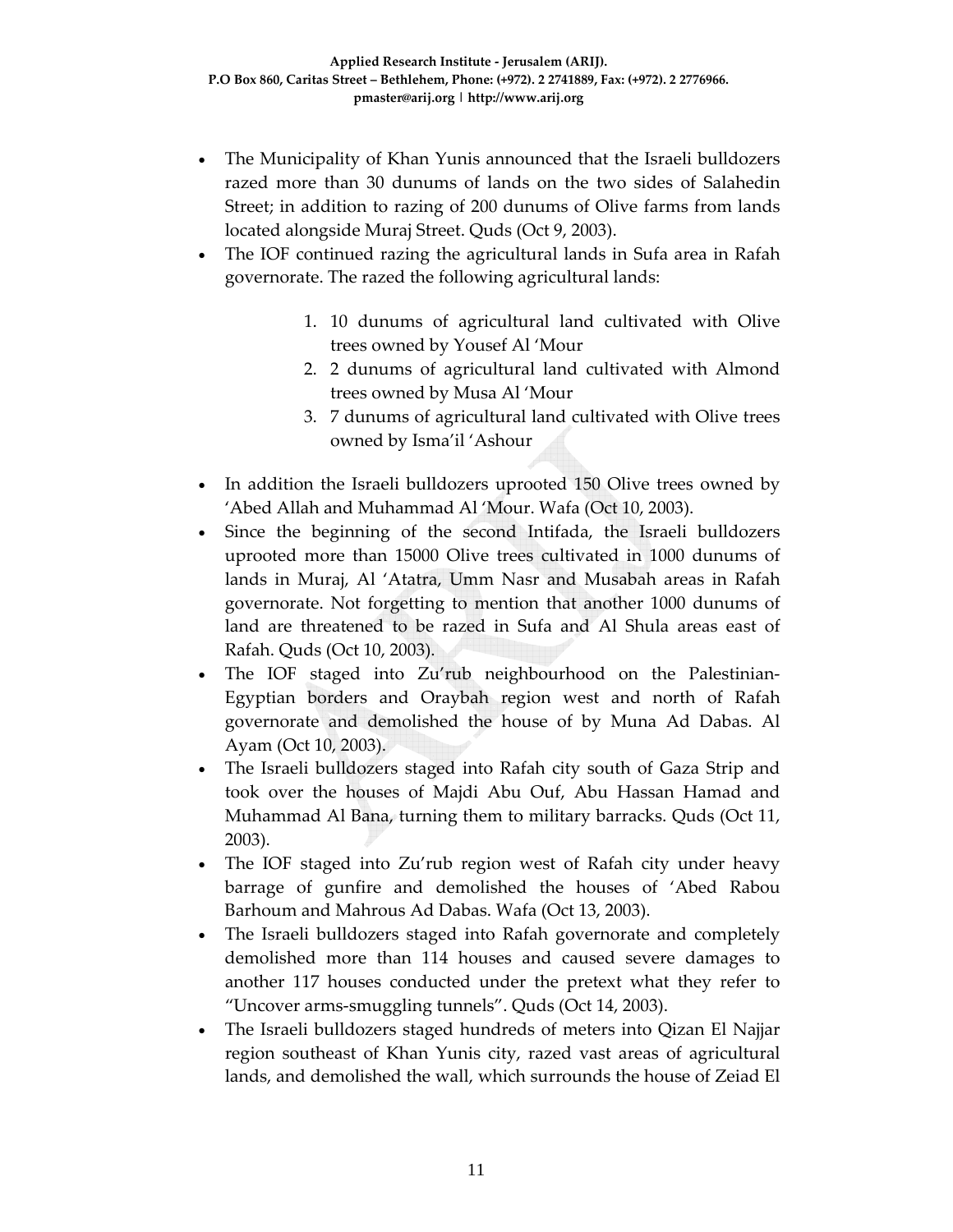- The Municipality of Khan Yunis announced that the Israeli bulldozers razed more than 30 dunums of lands on the two sides of Salahedin Street; in addition to razing of 200 dunums of Olive farms from lands located alongside Muraj Street. Quds (Oct 9, 2003).
- The IOF continued razing the agricultural lands in Sufa area in Rafah governorate. The razed the following agricultural lands:
	- 1. 10 dunums of agricultural land cultivated with Olive trees owned by Yousef Al 'Mour
	- 2. 2 dunums of agricultural land cultivated with Almond trees owned by Musa Al 'Mour
	- 3. 7 dunums of agricultural land cultivated with Olive trees owned by Isma'il 'Ashour
- In addition the Israeli bulldozers uprooted 150 Olive trees owned by 'Abed Allah and Muhammad Al 'Mour. Wafa (Oct 10, 2003).
- Since the beginning of the second Intifada, the Israeli bulldozers uprooted more than 15000 Olive trees cultivated in 1000 dunums of lands in Muraj, Al 'Atatra, Umm Nasr and Musabah areas in Rafah governorate. Not forgetting to mention that another 1000 dunums of land are threatened to be razed in Sufa and Al Shula areas east of Rafah. Quds (Oct 10, 2003).
- The IOF staged into Zu'rub neighbourhood on the Palestinian-Egyptian borders and Oraybah region west and north of Rafah governorate and demolished the house of by Muna Ad Dabas. Al Ayam (Oct 10, 2003).
- The Israeli bulldozers staged into Rafah city south of Gaza Strip and took over the houses of Majdi Abu Ouf, Abu Hassan Hamad and Muhammad Al Bana, turning them to military barracks. Quds (Oct 11, 2003).
- The IOF staged into Zu'rub region west of Rafah city under heavy barrage of gunfire and demolished the houses of 'Abed Rabou Barhoum and Mahrous Ad Dabas. Wafa (Oct 13, 2003).
- The Israeli bulldozers staged into Rafah governorate and completely demolished more than 114 houses and caused severe damages to another 117 houses conducted under the pretext what they refer to "Uncover arms‐smuggling tunnels". Quds (Oct 14, 2003).
- The Israeli bulldozers staged hundreds of meters into Qizan El Najjar region southeast of Khan Yunis city, razed vast areas of agricultural lands, and demolished the wall, which surrounds the house of Zeiad El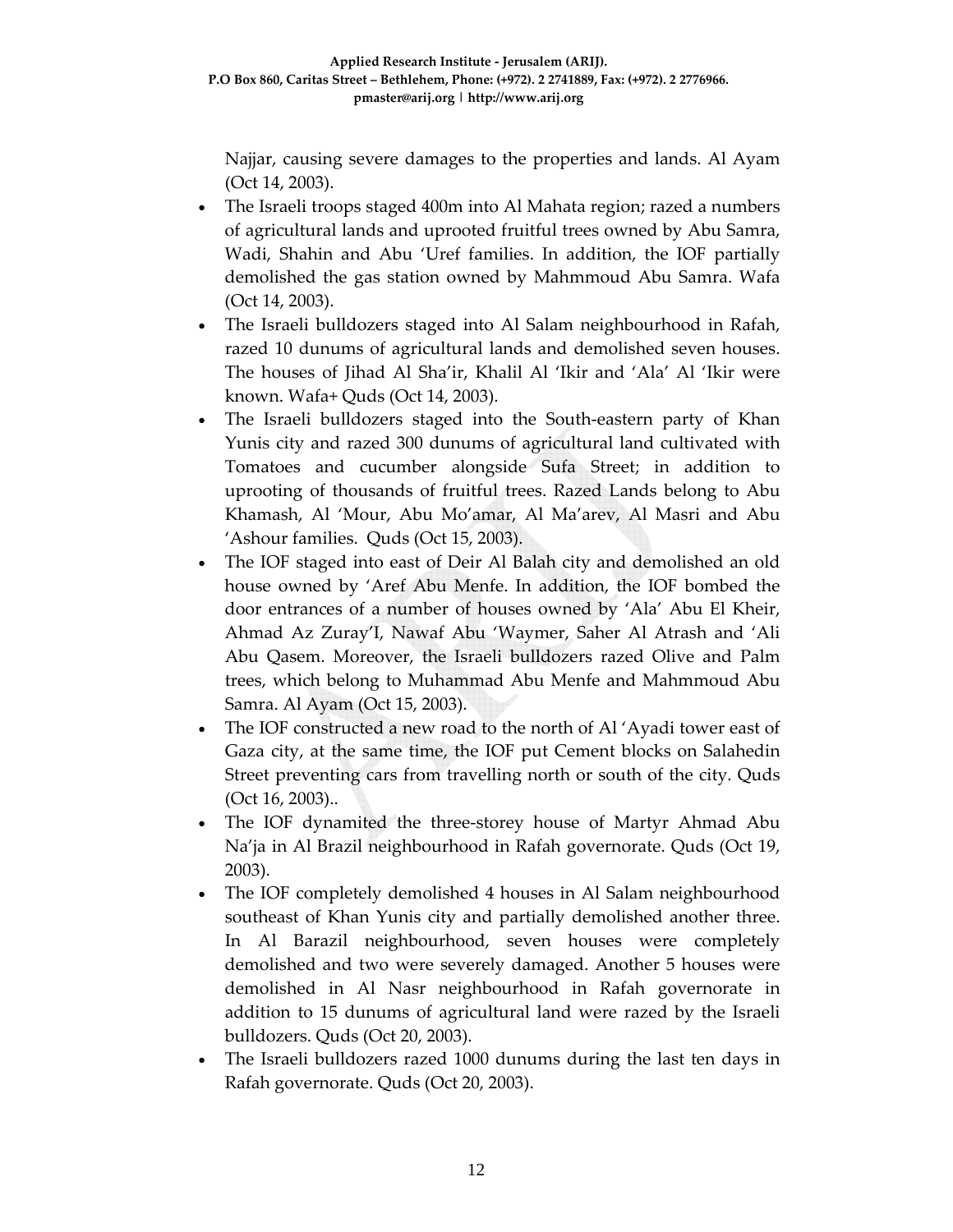Najjar, causing severe damages to the properties and lands. Al Ayam (Oct 14, 2003).

- The Israeli troops staged 400m into Al Mahata region; razed a numbers of agricultural lands and uprooted fruitful trees owned by Abu Samra, Wadi, Shahin and Abu 'Uref families. In addition, the IOF partially demolished the gas station owned by Mahmmoud Abu Samra. Wafa (Oct 14, 2003).
- The Israeli bulldozers staged into Al Salam neighbourhood in Rafah, razed 10 dunums of agricultural lands and demolished seven houses. The houses of Jihad Al Sha'ir, Khalil Al 'Ikir and 'Ala' Al 'Ikir were known. Wafa+ Quds (Oct 14, 2003).
- The Israeli bulldozers staged into the South-eastern party of Khan Yunis city and razed 300 dunums of agricultural land cultivated with Tomatoes and cucumber alongside Sufa Street; in addition to uprooting of thousands of fruitful trees. Razed Lands belong to Abu Khamash, Al 'Mour, Abu Mo'amar, Al Ma'arev, Al Masri and Abu 'Ashour families. Quds (Oct 15, 2003).
- The IOF staged into east of Deir Al Balah city and demolished an old house owned by 'Aref Abu Menfe. In addition, the IOF bombed the door entrances of a number of houses owned by 'Ala' Abu El Kheir, Ahmad Az Zuray'I, Nawaf Abu 'Waymer, Saher Al Atrash and 'Ali Abu Qasem. Moreover, the Israeli bulldozers razed Olive and Palm trees, which belong to Muhammad Abu Menfe and Mahmmoud Abu Samra. Al Ayam (Oct 15, 2003).
- The IOF constructed a new road to the north of Al 'Ayadi tower east of Gaza city, at the same time, the IOF put Cement blocks on Salahedin Street preventing cars from travelling north or south of the city. Quds (Oct 16, 2003)..
- The IOF dynamited the three-storey house of Martyr Ahmad Abu Na'ja in Al Brazil neighbourhood in Rafah governorate. Quds (Oct 19, 2003).
- The IOF completely demolished 4 houses in Al Salam neighbourhood southeast of Khan Yunis city and partially demolished another three. In Al Barazil neighbourhood, seven houses were completely demolished and two were severely damaged. Another 5 houses were demolished in Al Nasr neighbourhood in Rafah governorate in addition to 15 dunums of agricultural land were razed by the Israeli bulldozers. Quds (Oct 20, 2003).
- The Israeli bulldozers razed 1000 dunums during the last ten days in Rafah governorate. Quds (Oct 20, 2003).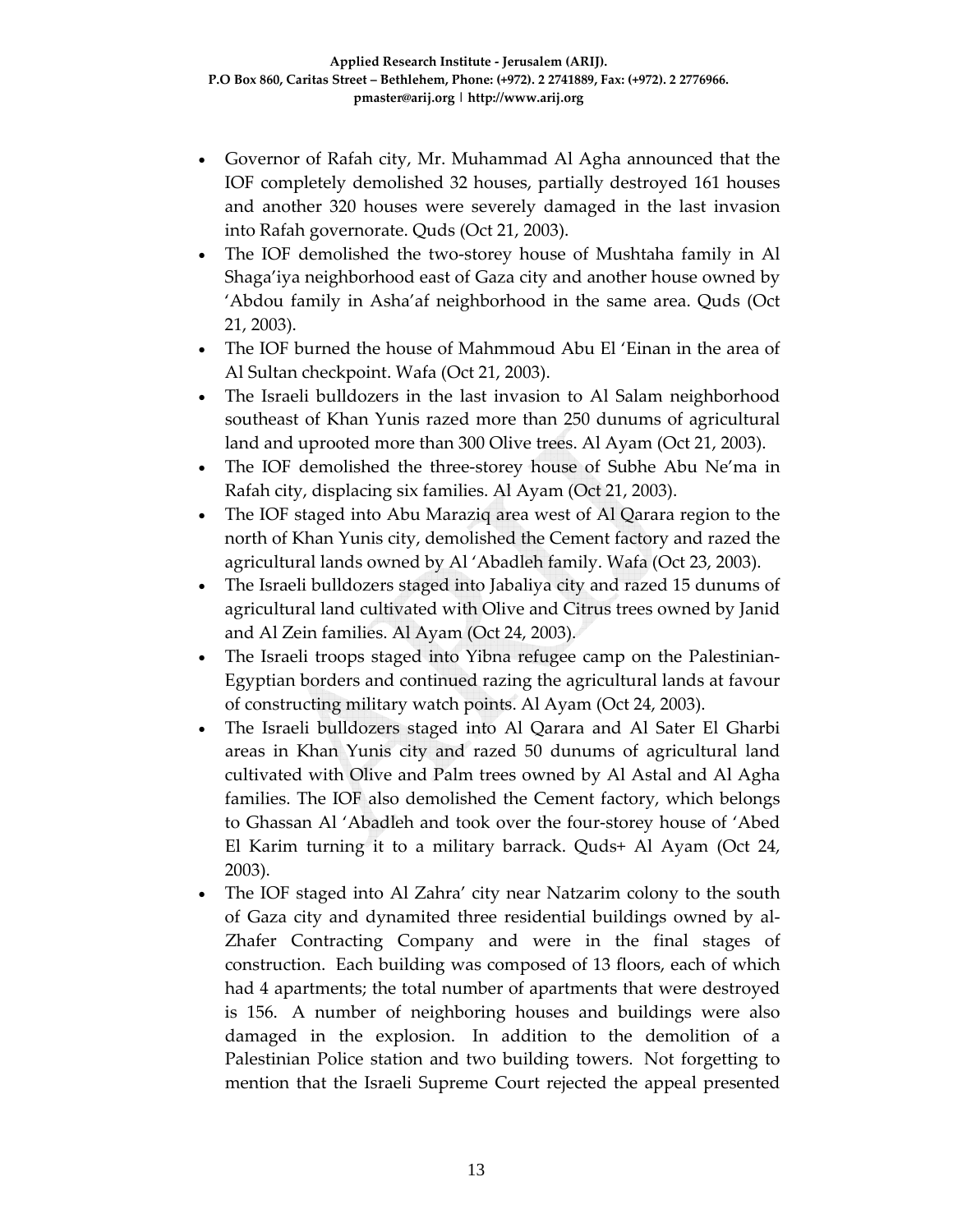- Governor of Rafah city, Mr. Muhammad Al Agha announced that the IOF completely demolished 32 houses, partially destroyed 161 houses and another 320 houses were severely damaged in the last invasion into Rafah governorate. Quds (Oct 21, 2003).
- The IOF demolished the two-storey house of Mushtaha family in Al Shaga'iya neighborhood east of Gaza city and another house owned by 'Abdou family in Asha'af neighborhood in the same area. Quds (Oct 21, 2003).
- The IOF burned the house of Mahmmoud Abu El 'Einan in the area of Al Sultan checkpoint. Wafa (Oct 21, 2003).
- The Israeli bulldozers in the last invasion to Al Salam neighborhood southeast of Khan Yunis razed more than 250 dunums of agricultural land and uprooted more than 300 Olive trees. Al Ayam (Oct 21, 2003).
- The IOF demolished the three‐storey house of Subhe Abu Ne'ma in Rafah city, displacing six families. Al Ayam (Oct 21, 2003).
- The IOF staged into Abu Maraziq area west of Al Qarara region to the north of Khan Yunis city, demolished the Cement factory and razed the agricultural lands owned by Al 'Abadleh family. Wafa (Oct 23, 2003).
- The Israeli bulldozers staged into Jabaliya city and razed 15 dunums of agricultural land cultivated with Olive and Citrus trees owned by Janid and Al Zein families. Al Ayam (Oct 24, 2003).
- The Israeli troops staged into Yibna refugee camp on the Palestinian-Egyptian borders and continued razing the agricultural lands at favour of constructing military watch points. Al Ayam (Oct 24, 2003).
- The Israeli bulldozers staged into Al Qarara and Al Sater El Gharbi areas in Khan Yunis city and razed 50 dunums of agricultural land cultivated with Olive and Palm trees owned by Al Astal and Al Agha families. The IOF also demolished the Cement factory, which belongs to Ghassan Al 'Abadleh and took over the four‐storey house of 'Abed El Karim turning it to a military barrack. Quds+ Al Ayam (Oct 24, 2003).
- The IOF staged into Al Zahra' city near Natzarim colony to the south of Gaza city and dynamited three residential buildings owned by al‐ Zhafer Contracting Company and were in the final stages of construction. Each building was composed of 13 floors, each of which had 4 apartments; the total number of apartments that were destroyed is 156. A number of neighboring houses and buildings were also damaged in the explosion. In addition to the demolition of a Palestinian Police station and two building towers. Not forgetting to mention that the Israeli Supreme Court rejected the appeal presented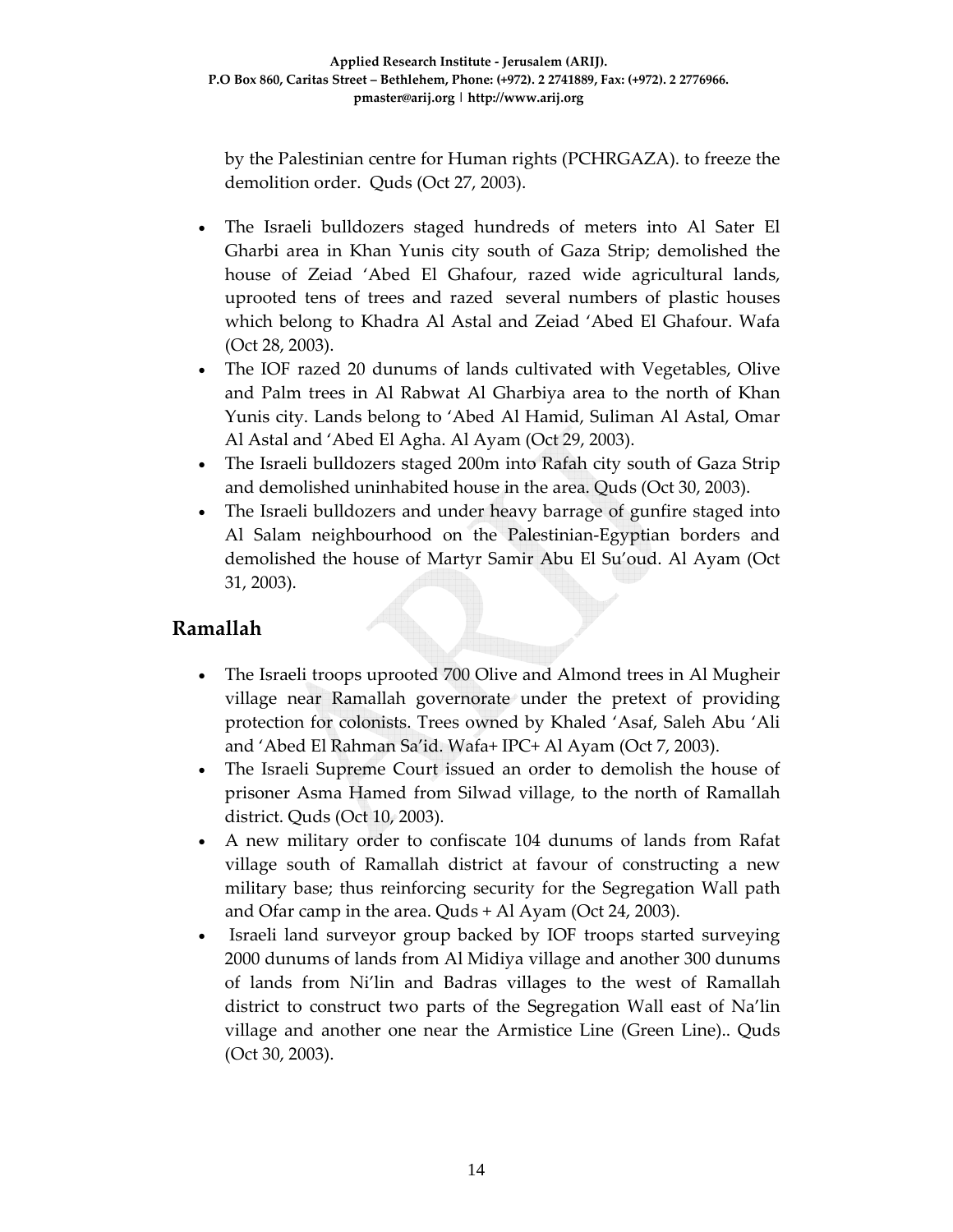by the Palestinian centre for Human rights (PCHRGAZA). to freeze the demolition order. Quds (Oct 27, 2003).

- The Israeli bulldozers staged hundreds of meters into Al Sater El Gharbi area in Khan Yunis city south of Gaza Strip; demolished the house of Zeiad 'Abed El Ghafour, razed wide agricultural lands, uprooted tens of trees and razed several numbers of plastic houses which belong to Khadra Al Astal and Zeiad 'Abed El Ghafour. Wafa (Oct 28, 2003).
- The IOF razed 20 dunums of lands cultivated with Vegetables, Olive and Palm trees in Al Rabwat Al Gharbiya area to the north of Khan Yunis city. Lands belong to 'Abed Al Hamid, Suliman Al Astal, Omar Al Astal and 'Abed El Agha. Al Ayam (Oct 29, 2003).
- The Israeli bulldozers staged 200m into Rafah city south of Gaza Strip and demolished uninhabited house in the area. Quds (Oct 30, 2003).
- The Israeli bulldozers and under heavy barrage of gunfire staged into Al Salam neighbourhood on the Palestinian‐Egyptian borders and demolished the house of Martyr Samir Abu El Su'oud. Al Ayam (Oct 31, 2003).

#### **Ramallah**

- The Israeli troops uprooted 700 Olive and Almond trees in Al Mugheir village near Ramallah governorate under the pretext of providing protection for colonists. Trees owned by Khaled 'Asaf, Saleh Abu 'Ali and 'Abed El Rahman Sa'id. Wafa+ IPC+ Al Ayam (Oct 7, 2003).
- The Israeli Supreme Court issued an order to demolish the house of prisoner Asma Hamed from Silwad village, to the north of Ramallah district. Quds (Oct 10, 2003).
- A new military order to confiscate 104 dunums of lands from Rafat village south of Ramallah district at favour of constructing a new military base; thus reinforcing security for the Segregation Wall path and Ofar camp in the area. Quds + Al Ayam (Oct 24, 2003).
- Israeli land surveyor group backed by IOF troops started surveying 2000 dunums of lands from Al Midiya village and another 300 dunums of lands from Ni'lin and Badras villages to the west of Ramallah district to construct two parts of the Segregation Wall east of Na'lin village and another one near the Armistice Line (Green Line).. Quds (Oct 30, 2003).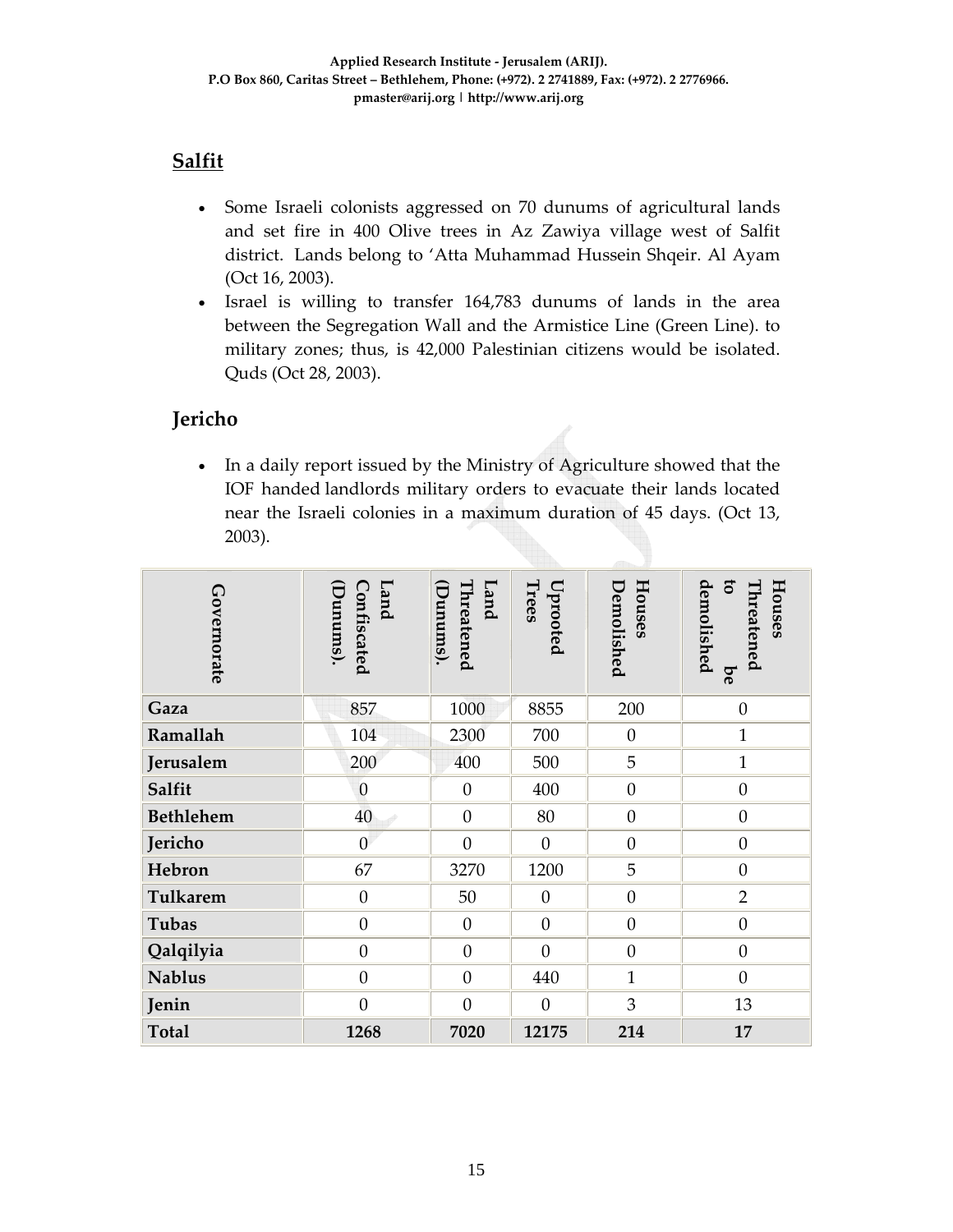# **Salfit**

- Some Israeli colonists aggressed on 70 dunums of agricultural lands and set fire in 400 Olive trees in Az Zawiya village west of Salfit district. Lands belong to 'Atta Muhammad Hussein Shqeir. Al Ayam (Oct 16, 2003).
- Israel is willing to transfer 164,783 dunums of lands in the area between the Segregation Wall and the Armistice Line (Green Line). to military zones; thus, is 42,000 Palestinian citizens would be isolated. Quds (Oct 28, 2003).

# **Jericho**

• In a daily report issued by the Ministry of Agriculture showed that the IOF handed landlords military orders to evacuate their lands located near the Israeli colonies in a maximum duration of 45 days. (Oct 13, 2003).

| Governorate      | (Dunums).<br><b>Land</b><br>Confiscated | Threatened<br><b>Land</b><br>(Dunums) | Trees<br>Uprooted | Houses<br>Demolished | $\overline{c}$<br>demolished<br>Threatened<br>Houses<br>be |
|------------------|-----------------------------------------|---------------------------------------|-------------------|----------------------|------------------------------------------------------------|
| Gaza             | 857                                     | 1000                                  | 8855              | 200                  | $\boldsymbol{0}$                                           |
| Ramallah         | 104                                     | 2300                                  | 700               | $\theta$             | $\mathbf{1}$                                               |
| Jerusalem        | 200                                     | 400                                   | 500               | 5                    | $\mathbf{1}$                                               |
| Salfit           | $\mathbf{0}$                            | $\boldsymbol{0}$                      | 400               | $\theta$             | $\overline{0}$                                             |
| <b>Bethlehem</b> | 40                                      | $\boldsymbol{0}$                      | 80                | $\boldsymbol{0}$     | $\overline{0}$                                             |
| Jericho          | $\mathbf{0}$                            | $\overline{0}$                        | $\overline{0}$    | $\boldsymbol{0}$     | $\overline{0}$                                             |
| Hebron           | 67                                      | 3270                                  | 1200              | 5                    | $\overline{0}$                                             |
| Tulkarem         | $\boldsymbol{0}$                        | 50                                    | $\mathbf{0}$      | $\boldsymbol{0}$     | $\overline{2}$                                             |
| Tubas            | $\boldsymbol{0}$                        | $\boldsymbol{0}$                      | $\boldsymbol{0}$  | $\theta$             | $\boldsymbol{0}$                                           |
| Qalqilyia        | $\theta$                                | $\boldsymbol{0}$                      | $\overline{0}$    | $\boldsymbol{0}$     | $\theta$                                                   |
| <b>Nablus</b>    | $\overline{0}$                          | $\boldsymbol{0}$                      | 440               | $\mathbf{1}$         | $\overline{0}$                                             |
| Jenin            | $\overline{0}$                          | $\boldsymbol{0}$                      | $\overline{0}$    | 3                    | 13                                                         |
| <b>Total</b>     | 1268                                    | 7020                                  | 12175             | 214                  | 17                                                         |